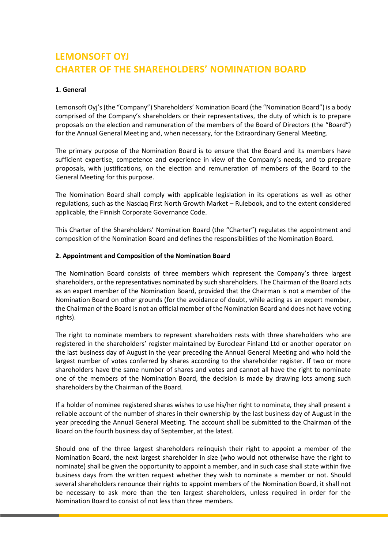# **LEMONSOFT OYJ CHARTER OF THE SHAREHOLDERS' NOMINATION BOARD**

### **1. General**

Lemonsoft Oyj's (the "Company") Shareholders' Nomination Board (the "Nomination Board") is a body comprised of the Company's shareholders or their representatives, the duty of which is to prepare proposals on the election and remuneration of the members of the Board of Directors (the "Board") for the Annual General Meeting and, when necessary, for the Extraordinary General Meeting.

The primary purpose of the Nomination Board is to ensure that the Board and its members have sufficient expertise, competence and experience in view of the Company's needs, and to prepare proposals, with justifications, on the election and remuneration of members of the Board to the General Meeting for this purpose.

The Nomination Board shall comply with applicable legislation in its operations as well as other regulations, such as the Nasdaq First North Growth Market – Rulebook, and to the extent considered applicable, the Finnish Corporate Governance Code.

This Charter of the Shareholders' Nomination Board (the "Charter") regulates the appointment and composition of the Nomination Board and defines the responsibilities of the Nomination Board.

#### **2. Appointment and Composition of the Nomination Board**

The Nomination Board consists of three members which represent the Company's three largest shareholders, or the representatives nominated by such shareholders. The Chairman of the Board acts as an expert member of the Nomination Board, provided that the Chairman is not a member of the Nomination Board on other grounds (for the avoidance of doubt, while acting as an expert member, the Chairman of the Board is not an official member of the Nomination Board and does not have voting rights).

The right to nominate members to represent shareholders rests with three shareholders who are registered in the shareholders' register maintained by Euroclear Finland Ltd or another operator on the last business day of August in the year preceding the Annual General Meeting and who hold the largest number of votes conferred by shares according to the shareholder register. If two or more shareholders have the same number of shares and votes and cannot all have the right to nominate one of the members of the Nomination Board, the decision is made by drawing lots among such shareholders by the Chairman of the Board.

If a holder of nominee registered shares wishes to use his/her right to nominate, they shall present a reliable account of the number of shares in their ownership by the last business day of August in the year preceding the Annual General Meeting. The account shall be submitted to the Chairman of the Board on the fourth business day of September, at the latest.

Should one of the three largest shareholders relinquish their right to appoint a member of the Nomination Board, the next largest shareholder in size (who would not otherwise have the right to nominate) shall be given the opportunity to appoint a member, and in such case shall state within five business days from the written request whether they wish to nominate a member or not. Should several shareholders renounce their rights to appoint members of the Nomination Board, it shall not be necessary to ask more than the ten largest shareholders, unless required in order for the Nomination Board to consist of not less than three members.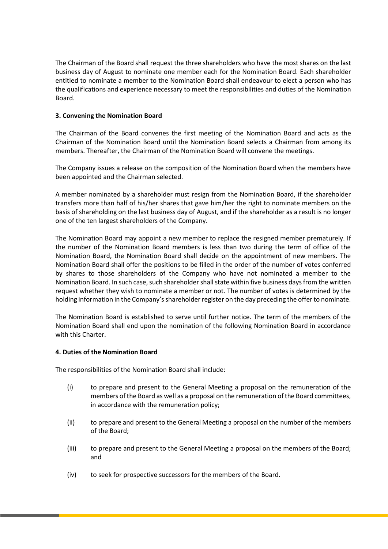The Chairman of the Board shall request the three shareholders who have the most shares on the last business day of August to nominate one member each for the Nomination Board. Each shareholder entitled to nominate a member to the Nomination Board shall endeavour to elect a person who has the qualifications and experience necessary to meet the responsibilities and duties of the Nomination Board.

# **3. Convening the Nomination Board**

The Chairman of the Board convenes the first meeting of the Nomination Board and acts as the Chairman of the Nomination Board until the Nomination Board selects a Chairman from among its members. Thereafter, the Chairman of the Nomination Board will convene the meetings.

The Company issues a release on the composition of the Nomination Board when the members have been appointed and the Chairman selected.

A member nominated by a shareholder must resign from the Nomination Board, if the shareholder transfers more than half of his/her shares that gave him/her the right to nominate members on the basis of shareholding on the last business day of August, and if the shareholder as a result is no longer one of the ten largest shareholders of the Company.

The Nomination Board may appoint a new member to replace the resigned member prematurely. If the number of the Nomination Board members is less than two during the term of office of the Nomination Board, the Nomination Board shall decide on the appointment of new members. The Nomination Board shall offer the positions to be filled in the order of the number of votes conferred by shares to those shareholders of the Company who have not nominated a member to the Nomination Board. In such case, such shareholder shall state within five business days from the written request whether they wish to nominate a member or not. The number of votes is determined by the holding information in the Company's shareholder register on the day preceding the offer to nominate.

The Nomination Board is established to serve until further notice. The term of the members of the Nomination Board shall end upon the nomination of the following Nomination Board in accordance with this Charter.

### **4. Duties of the Nomination Board**

The responsibilities of the Nomination Board shall include:

- (i) to prepare and present to the General Meeting a proposal on the remuneration of the members of the Board as well as a proposal on the remuneration of the Board committees, in accordance with the remuneration policy;
- (ii) to prepare and present to the General Meeting a proposal on the number of the members of the Board;
- (iii) to prepare and present to the General Meeting a proposal on the members of the Board; and
- (iv) to seek for prospective successors for the members of the Board.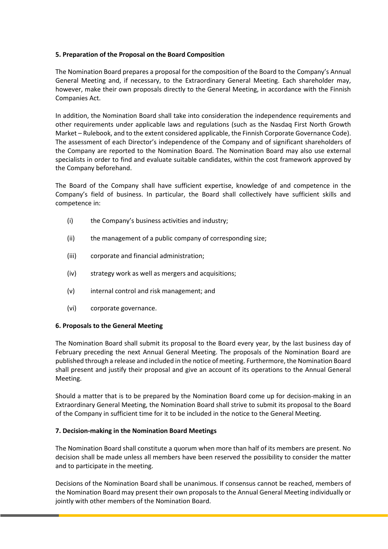# **5. Preparation of the Proposal on the Board Composition**

The Nomination Board prepares a proposal for the composition of the Board to the Company's Annual General Meeting and, if necessary, to the Extraordinary General Meeting. Each shareholder may, however, make their own proposals directly to the General Meeting, in accordance with the Finnish Companies Act.

In addition, the Nomination Board shall take into consideration the independence requirements and other requirements under applicable laws and regulations (such as the Nasdaq First North Growth Market – Rulebook, and to the extent considered applicable, the Finnish Corporate Governance Code). The assessment of each Director's independence of the Company and of significant shareholders of the Company are reported to the Nomination Board. The Nomination Board may also use external specialists in order to find and evaluate suitable candidates, within the cost framework approved by the Company beforehand.

The Board of the Company shall have sufficient expertise, knowledge of and competence in the Company's field of business. In particular, the Board shall collectively have sufficient skills and competence in:

- (i) the Company's business activities and industry;
- (ii) the management of a public company of corresponding size;
- (iii) corporate and financial administration;
- (iv) strategy work as well as mergers and acquisitions;
- (v) internal control and risk management; and
- (vi) corporate governance.

### **6. Proposals to the General Meeting**

The Nomination Board shall submit its proposal to the Board every year, by the last business day of February preceding the next Annual General Meeting. The proposals of the Nomination Board are published through a release and included in the notice of meeting. Furthermore, the Nomination Board shall present and justify their proposal and give an account of its operations to the Annual General Meeting.

Should a matter that is to be prepared by the Nomination Board come up for decision-making in an Extraordinary General Meeting, the Nomination Board shall strive to submit its proposal to the Board of the Company in sufficient time for it to be included in the notice to the General Meeting.

### **7. Decision-making in the Nomination Board Meetings**

The Nomination Board shall constitute a quorum when more than half of its members are present. No decision shall be made unless all members have been reserved the possibility to consider the matter and to participate in the meeting.

Decisions of the Nomination Board shall be unanimous. If consensus cannot be reached, members of the Nomination Board may present their own proposals to the Annual General Meeting individually or jointly with other members of the Nomination Board.